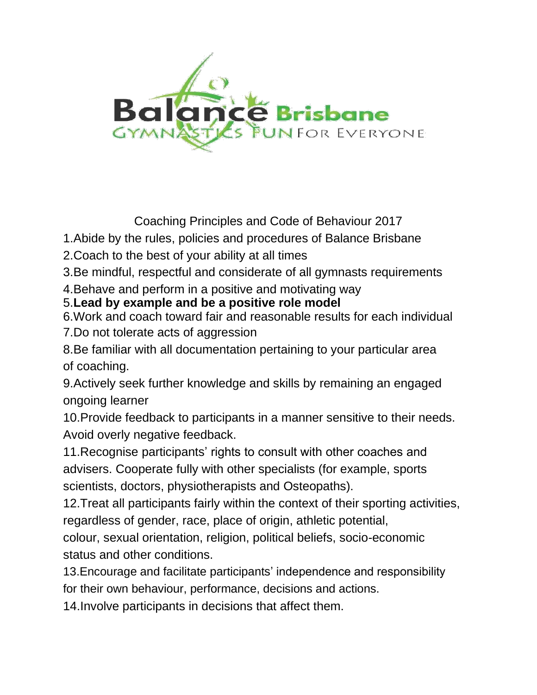

Coaching Principles and Code of Behaviour 2017

1.Abide by the rules, policies and procedures of Balance Brisbane

2.Coach to the best of your ability at all times

3.Be mindful, respectful and considerate of all gymnasts requirements

4.Behave and perform in a positive and motivating way

## 5.**Lead by example and be a positive role model**

6.Work and coach toward fair and reasonable results for each individual 7.Do not tolerate acts of aggression

8.Be familiar with all documentation pertaining to your particular area of coaching.

9.Actively seek further knowledge and skills by remaining an engaged ongoing learner

10.Provide feedback to participants in a manner sensitive to their needs. Avoid overly negative feedback.

11.Recognise participants' rights to consult with other coaches and advisers. Cooperate fully with other specialists (for example, sports scientists, doctors, physiotherapists and Osteopaths).

12.Treat all participants fairly within the context of their sporting activities, regardless of gender, race, place of origin, athletic potential,

colour, sexual orientation, religion, political beliefs, socio-economic status and other conditions.

13.Encourage and facilitate participants' independence and responsibility for their own behaviour, performance, decisions and actions.

14.Involve participants in decisions that affect them.